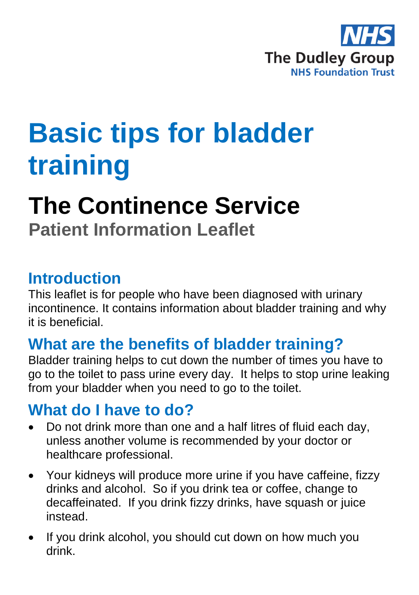

# **Basic tips for bladder training**

# **The Continence Service**

**Patient Information Leaflet**

### **Introduction**

This leaflet is for people who have been diagnosed with urinary incontinence. It contains information about bladder training and why it is beneficial.

## **What are the benefits of bladder training?**

Bladder training helps to cut down the number of times you have to go to the toilet to pass urine every day. It helps to stop urine leaking from your bladder when you need to go to the toilet.

## **What do I have to do?**

- Do not drink more than one and a half litres of fluid each day, unless another volume is recommended by your doctor or healthcare professional.
- Your kidneys will produce more urine if you have caffeine, fizzy drinks and alcohol. So if you drink tea or coffee, change to decaffeinated. If you drink fizzy drinks, have squash or juice instead.
- If you drink alcohol, you should cut down on how much you drink.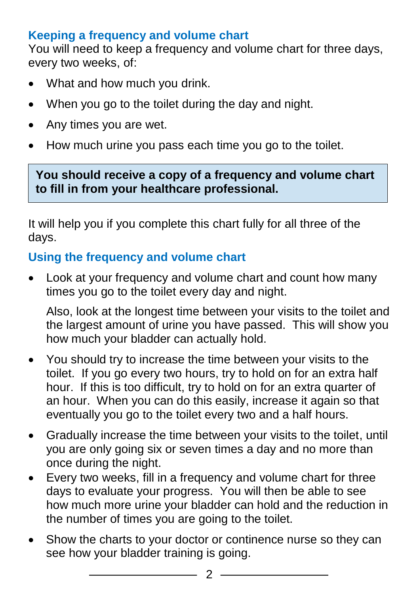### **Keeping a frequency and volume chart**

You will need to keep a frequency and volume chart for three days, every two weeks, of:

- What and how much you drink.
- When you go to the toilet during the day and night.
- Any times you are wet.
- How much urine you pass each time you go to the toilet.

**You should receive a copy of a frequency and volume chart to fill in from your healthcare professional.** 

It will help you if you complete this chart fully for all three of the days.

#### **Using the frequency and volume chart**

 Look at your frequency and volume chart and count how many times you go to the toilet every day and night.

Also, look at the longest time between your visits to the toilet and the largest amount of urine you have passed. This will show you how much your bladder can actually hold.

- You should try to increase the time between your visits to the toilet. If you go every two hours, try to hold on for an extra half hour. If this is too difficult, try to hold on for an extra quarter of an hour. When you can do this easily, increase it again so that eventually you go to the toilet every two and a half hours.
- Gradually increase the time between your visits to the toilet, until you are only going six or seven times a day and no more than once during the night.
- Every two weeks, fill in a frequency and volume chart for three days to evaluate your progress. You will then be able to see how much more urine your bladder can hold and the reduction in the number of times you are going to the toilet.
- Show the charts to your doctor or continence nurse so they can see how your bladder training is going.

 $\overline{\phantom{a}}$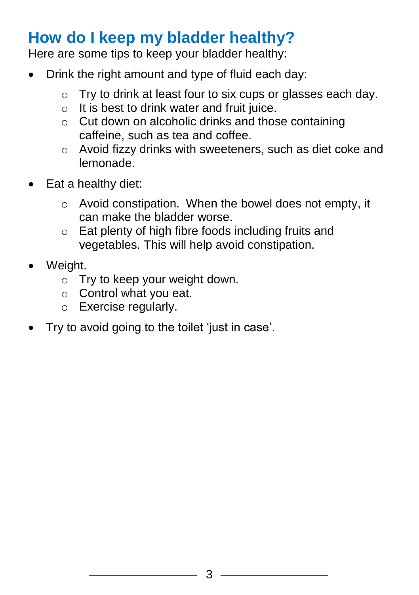## **How do I keep my bladder healthy?**

Here are some tips to keep your bladder healthy:

- Drink the right amount and type of fluid each day:
	- o Try to drink at least four to six cups or glasses each day.
	- $\circ$  It is best to drink water and fruit juice.
	- o Cut down on alcoholic drinks and those containing caffeine, such as tea and coffee.
	- o Avoid fizzy drinks with sweeteners, such as diet coke and lemonade.
- Eat a healthy diet:
	- o Avoid constipation. When the bowel does not empty, it can make the bladder worse.
	- o Eat plenty of high fibre foods including fruits and vegetables. This will help avoid constipation.
- Weight.
	- o Try to keep your weight down.
	- o Control what you eat.
	- o Exercise regularly.
- Try to avoid going to the toilet 'just in case'.